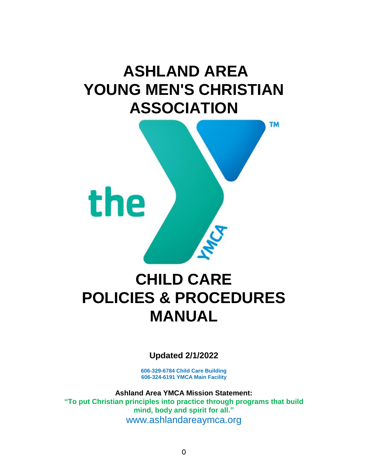# **ASHLAND AREA YOUNG MEN'S CHRISTIAN ASSOCIATION**



# **CHILD CARE POLICIES & PROCEDURES MANUAL**

**Updated 2/1/2022**

**606-329-6784 Child Care Building 606-324-6191 YMCA Main Facility**

**Ashland Area YMCA Mission Statement: "To put Christian principles into practice through programs that build mind, body and spirit for all."** www.ashlandareaymca.org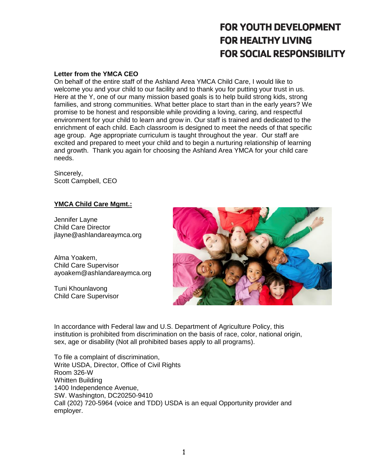# **FOR YOUTH DEVELOPMENT FOR HEALTHY LIVING FOR SOCIAL RESPONSIBILITY**

#### **Letter from the YMCA CEO**

On behalf of the entire staff of the Ashland Area YMCA Child Care, I would like to welcome you and your child to our facility and to thank you for putting your trust in us. Here at the Y, one of our many mission based goals is to help build strong kids, strong families, and strong communities. What better place to start than in the early years? We promise to be honest and responsible while providing a loving, caring, and respectful environment for your child to learn and grow in. Our staff is trained and dedicated to the enrichment of each child. Each classroom is designed to meet the needs of that specific age group. Age appropriate curriculum is taught throughout the year. Our staff are excited and prepared to meet your child and to begin a nurturing relationship of learning and growth. Thank you again for choosing the Ashland Area YMCA for your child care needs.

Sincerely, Scott Campbell, CEO

#### **YMCA Child Care Mgmt.:**

Jennifer Layne Child Care Director [jlayne@ashlandareaymca.org](mailto:jlayne@ashlandareaymca.org)

Alma Yoakem, Child Care Supervisor [ayoakem@ashlandareaymca.org](mailto:ayoakem@ashlandareaymca.org)

Tuni Khounlavong Child Care Supervisor



In accordance with Federal law and U.S. Department of Agriculture Policy, this institution is prohibited from discrimination on the basis of race, color, national origin, sex, age or disability (Not all prohibited bases apply to all programs).

To file a complaint of discrimination, Write USDA, Director, Office of Civil Rights Room 326-W Whitten Building 1400 Independence Avenue, SW. Washington, DC20250-9410 Call (202) 720-5964 (voice and TDD) USDA is an equal Opportunity provider and employer.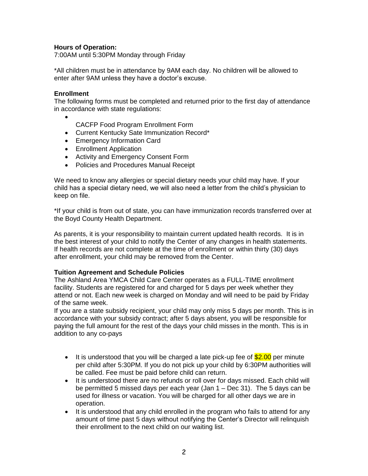#### **Hours of Operation:**

7:00AM until 5:30PM Monday through Friday

\*All children must be in attendance by 9AM each day. No children will be allowed to enter after 9AM unless they have a doctor's excuse.

#### **Enrollment**

The following forms must be completed and returned prior to the first day of attendance in accordance with state regulations:

- $\bullet$ 
	- CACFP Food Program Enrollment Form
- Current Kentucky Sate Immunization Record\*
- Emergency Information Card
- **•** Enrollment Application
- Activity and Emergency Consent Form
- Policies and Procedures Manual Receipt

We need to know any allergies or special dietary needs your child may have. If your child has a special dietary need, we will also need a letter from the child's physician to keep on file.

\*If your child is from out of state, you can have immunization records transferred over at the Boyd County Health Department.

As parents, it is your responsibility to maintain current updated health records. It is in the best interest of your child to notify the Center of any changes in health statements. If health records are not complete at the time of enrollment or within thirty (30) days after enrollment, your child may be removed from the Center.

#### **Tuition Agreement and Schedule Policies**

The Ashland Area YMCA Child Care Center operates as a FULL-TIME enrollment facility. Students are registered for and charged for 5 days per week whether they attend or not. Each new week is charged on Monday and will need to be paid by Friday of the same week.

If you are a state subsidy recipient, your child may only miss 5 days per month. This is in accordance with your subsidy contract; after 5 days absent, you will be responsible for paying the full amount for the rest of the days your child misses in the month. This is in addition to any co-pays

- It is understood that you will be charged a late pick-up fee of  $$2.00$  per minute per child after 5:30PM. If you do not pick up your child by 6:30PM authorities will be called. Fee must be paid before child can return.
- It is understood there are no refunds or roll over for days missed. Each child will be permitted 5 missed days per each year (Jan 1 – Dec 31). The 5 days can be used for illness or vacation. You will be charged for all other days we are in operation.
- It is understood that any child enrolled in the program who fails to attend for any amount of time past 5 days without notifying the Center's Director will relinquish their enrollment to the next child on our waiting list.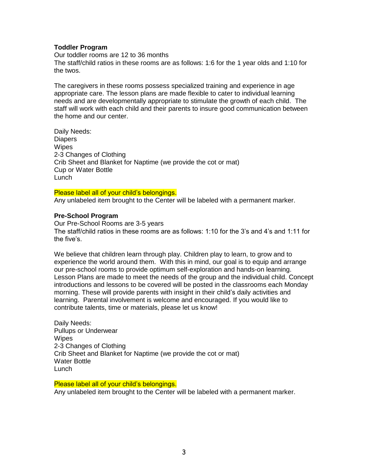#### **Toddler Program**

Our toddler rooms are 12 to 36 months The staff/child ratios in these rooms are as follows: 1:6 for the 1 year olds and 1:10 for the twos.

The caregivers in these rooms possess specialized training and experience in age appropriate care. The lesson plans are made flexible to cater to individual learning needs and are developmentally appropriate to stimulate the growth of each child. The staff will work with each child and their parents to insure good communication between the home and our center.

Daily Needs: **Diapers Wipes** 2-3 Changes of Clothing Crib Sheet and Blanket for Naptime (we provide the cot or mat) Cup or Water Bottle **Lunch** 

#### Please label all of your child's belongings.

Any unlabeled item brought to the Center will be labeled with a permanent marker.

#### **Pre-School Program**

Our Pre-School Rooms are 3-5 years The staff/child ratios in these rooms are as follows: 1:10 for the 3's and 4's and 1:11 for the five's.

We believe that children learn through play. Children play to learn, to grow and to experience the world around them. With this in mind, our goal is to equip and arrange our pre-school rooms to provide optimum self-exploration and hands-on learning. Lesson Plans are made to meet the needs of the group and the individual child. Concept introductions and lessons to be covered will be posted in the classrooms each Monday morning. These will provide parents with insight in their child's daily activities and learning. Parental involvement is welcome and encouraged. If you would like to contribute talents, time or materials, please let us know!

Daily Needs: Pullups or Underwear Wipes 2-3 Changes of Clothing Crib Sheet and Blanket for Naptime (we provide the cot or mat) Water Bottle Lunch

#### Please label all of your child's belongings.

Any unlabeled item brought to the Center will be labeled with a permanent marker.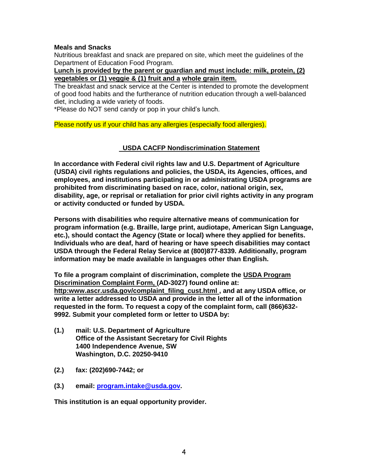#### **Meals and Snacks**

Nutritious breakfast and snack are prepared on site, which meet the guidelines of the Department of Education Food Program.

**Lunch is provided by the parent or guardian and must include: milk, protein, (2) vegetables or (1) veggie & (1) fruit and a whole grain item.**

The breakfast and snack service at the Center is intended to promote the development of good food habits and the furtherance of nutrition education through a well-balanced diet, including a wide variety of foods.

\*Please do NOT send candy or pop in your child's lunch.

Please notify us if your child has any allergies (especially food allergies).

#### **USDA CACFP Nondiscrimination Statement**

**In accordance with Federal civil rights law and U.S. Department of Agriculture (USDA) civil rights regulations and policies, the USDA, its Agencies, offices, and employees, and institutions participating in or administrating USDA programs are prohibited from discriminating based on race, color, national origin, sex, disability, age, or reprisal or retaliation for prior civil rights activity in any program or activity conducted or funded by USDA.**

**Persons with disabilities who require alternative means of communication for program information (e.g. Braille, large print, audiotape, American Sign Language, etc.), should contact the Agency (State or local) where they applied for benefits. Individuals who are deaf, hard of hearing or have speech disabilities may contact USDA through the Federal Relay Service at (800)877-8339. Additionally, program information may be made available in languages other than English.** 

**To file a program complaint of discrimination, complete the USDA Program Discrimination Complaint Form, (AD-3027) found online at: http:www.ascr.usda.gov/complaint\_filing\_cust.html , and at any USDA office, or write a letter addressed to USDA and provide in the letter all of the information requested in the form. To request a copy of the complaint form, call (866)632- 9992. Submit your completed form or letter to USDA by:**

- **(1.) mail: U.S. Department of Agriculture Office of the Assistant Secretary for Civil Rights 1400 Independence Avenue, SW Washington, D.C. 20250-9410**
- **(2.) fax: (202)690-7442; or**
- **(3.) email: [program.intake@usda.gov.](mailto:program.intake@usda.gov)**

**This institution is an equal opportunity provider.**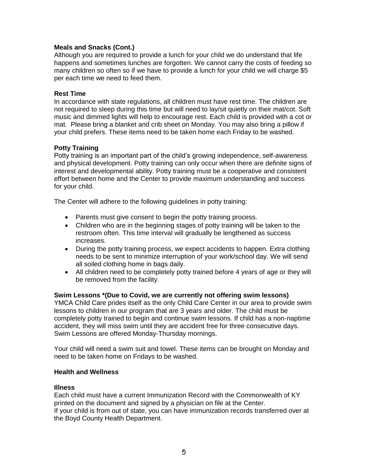#### **Meals and Snacks (Cont.)**

Although you are required to provide a lunch for your child we do understand that life happens and sometimes lunches are forgotten. We cannot carry the costs of feeding so many children so often so if we have to provide a lunch for your child we will charge \$5 per each time we need to feed them.

#### **Rest Time**

In accordance with state regulations, all children must have rest time. The children are not required to sleep during this time but will need to lay/sit quietly on their mat/cot. Soft music and dimmed lights will help to encourage rest. Each child is provided with a cot or mat. Please bring a blanket and crib sheet on Monday. You may also bring a pillow if your child prefers. These items need to be taken home each Friday to be washed.

#### **Potty Training**

Potty training is an important part of the child's growing independence, self-awareness and physical development. Potty training can only occur when there are definite signs of interest and developmental ability. Potty training must be a cooperative and consistent effort between home and the Center to provide maximum understanding and success for your child.

The Center will adhere to the following guidelines in potty training:

- Parents must give consent to begin the potty training process.
- Children who are in the beginning stages of potty training will be taken to the restroom often. This time interval will gradually be lengthened as success increases.
- During the potty training process, we expect accidents to happen. Extra clothing needs to be sent to minimize interruption of your work/school day. We will send all soiled clothing home in bags daily.
- All children need to be completely potty trained before 4 years of age or they will be removed from the facility.

#### **Swim Lessons \*(Due to Covid, we are currently not offering swim lessons)**

YMCA Child Care prides itself as the only Child Care Center in our area to provide swim lessons to children in our program that are 3 years and older. The child must be completely potty trained to begin and continue swim lessons. If child has a non-naptime accident, they will miss swim until they are accident free for three consecutive days. Swim Lessons are offered Monday-Thursday mornings.

Your child will need a swim suit and towel. These items can be brought on Monday and need to be taken home on Fridays to be washed.

#### **Health and Wellness**

#### **Illness**

Each child must have a current Immunization Record with the Commonwealth of KY printed on the document and signed by a physician on file at the Center.

If your child is from out of state, you can have immunization records transferred over at the Boyd County Health Department.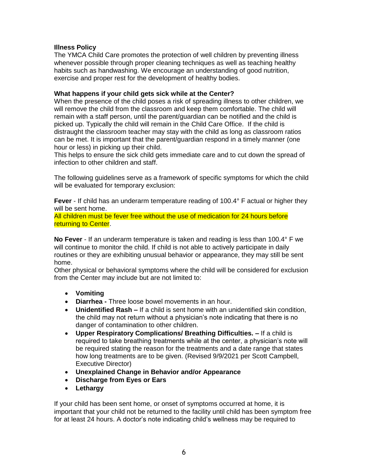#### **Illness Policy**

The YMCA Child Care promotes the protection of well children by preventing illness whenever possible through proper cleaning techniques as well as teaching healthy habits such as handwashing. We encourage an understanding of good nutrition, exercise and proper rest for the development of healthy bodies.

#### **What happens if your child gets sick while at the Center?**

When the presence of the child poses a risk of spreading illness to other children, we will remove the child from the classroom and keep them comfortable. The child will remain with a staff person, until the parent/guardian can be notified and the child is picked up. Typically the child will remain in the Child Care Office. If the child is distraught the classroom teacher may stay with the child as long as classroom ratios can be met. It is important that the parent/guardian respond in a timely manner (one hour or less) in picking up their child.

This helps to ensure the sick child gets immediate care and to cut down the spread of infection to other children and staff.

The following guidelines serve as a framework of specific symptoms for which the child will be evaluated for temporary exclusion:

**Fever** - If child has an underarm temperature reading of 100.4° F actual or higher they will be sent home.

All children must be fever free without the use of medication for 24 hours before returning to Center.

**No Fever** - If an underarm temperature is taken and reading is less than 100.4° F we will continue to monitor the child. If child is not able to actively participate in daily routines or they are exhibiting unusual behavior or appearance, they may still be sent home.

Other physical or behavioral symptoms where the child will be considered for exclusion from the Center may include but are not limited to:

- **Vomiting**
- **Diarrhea -** Three loose bowel movements in an hour.
- **Unidentified Rash –** If a child is sent home with an unidentified skin condition, the child may not return without a physician's note indicating that there is no danger of contamination to other children.
- **Upper Respiratory Complications/ Breathing Difficulties. –** If a child is required to take breathing treatments while at the center, a physician's note will be required stating the reason for the treatments and a date range that states how long treatments are to be given. (Revised 9/9/2021 per Scott Campbell, Executive Director)
- **Unexplained Change in Behavior and/or Appearance**
- **Discharge from Eyes or Ears**
- **Lethargy**

If your child has been sent home, or onset of symptoms occurred at home, it is important that your child not be returned to the facility until child has been symptom free for at least 24 hours. A doctor's note indicating child's wellness may be required to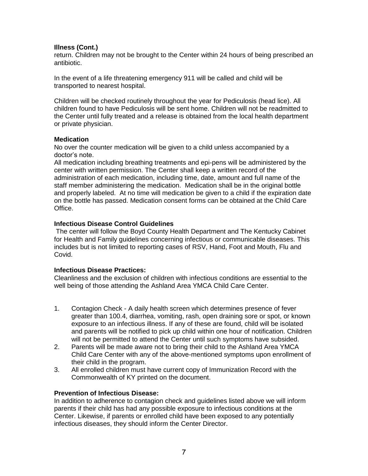#### **Illness (Cont.)**

return. Children may not be brought to the Center within 24 hours of being prescribed an antibiotic.

In the event of a life threatening emergency 911 will be called and child will be transported to nearest hospital.

Children will be checked routinely throughout the year for Pediculosis (head lice). All children found to have Pediculosis will be sent home. Children will not be readmitted to the Center until fully treated and a release is obtained from the local health department or private physician.

#### **Medication**

No over the counter medication will be given to a child unless accompanied by a doctor's note.

All medication including breathing treatments and epi-pens will be administered by the center with written permission. The Center shall keep a written record of the administration of each medication, including time, date, amount and full name of the staff member administering the medication. Medication shall be in the original bottle and properly labeled. At no time will medication be given to a child if the expiration date on the bottle has passed. Medication consent forms can be obtained at the Child Care Office.

#### **Infectious Disease Control Guidelines**

The center will follow the Boyd County Health Department and The Kentucky Cabinet for Health and Family guidelines concerning infectious or communicable diseases. This includes but is not limited to reporting cases of RSV, Hand, Foot and Mouth, Flu and Covid.

#### **Infectious Disease Practices:**

Cleanliness and the exclusion of children with infectious conditions are essential to the well being of those attending the Ashland Area YMCA Child Care Center.

- 1. Contagion Check A daily health screen which determines presence of fever greater than 100.4, diarrhea, vomiting, rash, open draining sore or spot, or known exposure to an infectious illness. If any of these are found, child will be isolated and parents will be notified to pick up child within one hour of notification. Children will not be permitted to attend the Center until such symptoms have subsided.
- 2. Parents will be made aware not to bring their child to the Ashland Area YMCA Child Care Center with any of the above-mentioned symptoms upon enrollment of their child in the program.
- 3. All enrolled children must have current copy of Immunization Record with the Commonwealth of KY printed on the document.

#### **Prevention of Infectious Disease:**

In addition to adherence to contagion check and guidelines listed above we will inform parents if their child has had any possible exposure to infectious conditions at the Center. Likewise, if parents or enrolled child have been exposed to any potentially infectious diseases, they should inform the Center Director.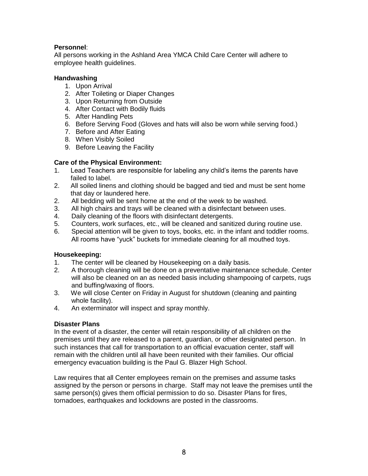#### **Personnel**:

All persons working in the Ashland Area YMCA Child Care Center will adhere to employee health guidelines.

#### **Handwashing**

- 1. Upon Arrival
- 2. After Toileting or Diaper Changes
- 3. Upon Returning from Outside
- 4. After Contact with Bodily fluids
- 5. After Handling Pets
- 6. Before Serving Food (Gloves and hats will also be worn while serving food.)
- 7. Before and After Eating
- 8. When Visibly Soiled
- 9. Before Leaving the Facility

#### **Care of the Physical Environment:**

- 1. Lead Teachers are responsible for labeling any child's items the parents have failed to label.
- 2. All soiled linens and clothing should be bagged and tied and must be sent home that day or laundered here.
- 2. All bedding will be sent home at the end of the week to be washed.
- 3. All high chairs and trays will be cleaned with a disinfectant between uses.
- 4. Daily cleaning of the floors with disinfectant detergents.
- 5. Counters, work surfaces, etc., will be cleaned and sanitized during routine use.
- 6. Special attention will be given to toys, books, etc. in the infant and toddler rooms. All rooms have "yuck" buckets for immediate cleaning for all mouthed toys.

#### **Housekeeping:**

- 1. The center will be cleaned by Housekeeping on a daily basis.
- 2. A thorough cleaning will be done on a preventative maintenance schedule. Center will also be cleaned on an as needed basis including shampooing of carpets, rugs and buffing/waxing of floors.
- 3. We will close Center on Friday in August for shutdown (cleaning and painting whole facility).
- 4. An exterminator will inspect and spray monthly.

#### **Disaster Plans**

In the event of a disaster, the center will retain responsibility of all children on the premises until they are released to a parent, guardian, or other designated person. In such instances that call for transportation to an official evacuation center, staff will remain with the children until all have been reunited with their families. Our official emergency evacuation building is the Paul G. Blazer High School.

Law requires that all Center employees remain on the premises and assume tasks assigned by the person or persons in charge. Staff may not leave the premises until the same person(s) gives them official permission to do so. Disaster Plans for fires, tornadoes, earthquakes and lockdowns are posted in the classrooms.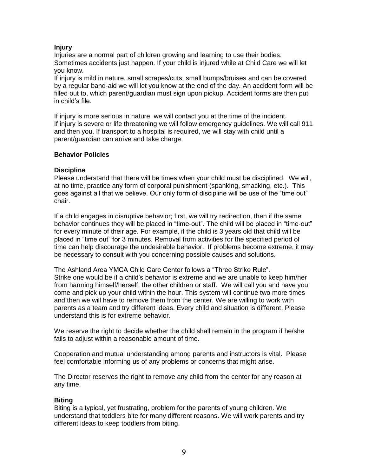#### **Injury**

Injuries are a normal part of children growing and learning to use their bodies. Sometimes accidents just happen. If your child is injured while at Child Care we will let you know.

If injury is mild in nature, small scrapes/cuts, small bumps/bruises and can be covered by a regular band-aid we will let you know at the end of the day. An accident form will be filled out to, which parent/guardian must sign upon pickup. Accident forms are then put in child's file.

If injury is more serious in nature, we will contact you at the time of the incident. If injury is severe or life threatening we will follow emergency guidelines. We will call 911 and then you. If transport to a hospital is required, we will stay with child until a parent/guardian can arrive and take charge.

#### **Behavior Policies**

#### **Discipline**

Please understand that there will be times when your child must be disciplined. We will, at no time, practice any form of corporal punishment (spanking, smacking, etc.). This goes against all that we believe. Our only form of discipline will be use of the "time out" chair.

If a child engages in disruptive behavior; first, we will try redirection, then if the same behavior continues they will be placed in "time-out". The child will be placed in "time-out" for every minute of their age. For example, if the child is 3 years old that child will be placed in "time out" for 3 minutes. Removal from activities for the specified period of time can help discourage the undesirable behavior. If problems become extreme, it may be necessary to consult with you concerning possible causes and solutions.

The Ashland Area YMCA Child Care Center follows a "Three Strike Rule". Strike one would be if a child's behavior is extreme and we are unable to keep him/her from harming himself/herself, the other children or staff. We will call you and have you come and pick up your child within the hour. This system will continue two more times and then we will have to remove them from the center. We are willing to work with parents as a team and try different ideas. Every child and situation is different. Please understand this is for extreme behavior.

We reserve the right to decide whether the child shall remain in the program if he/she fails to adjust within a reasonable amount of time.

Cooperation and mutual understanding among parents and instructors is vital. Please feel comfortable informing us of any problems or concerns that might arise.

The Director reserves the right to remove any child from the center for any reason at any time.

#### **Biting**

Biting is a typical, yet frustrating, problem for the parents of young children. We understand that toddlers bite for many different reasons. We will work parents and try different ideas to keep toddlers from biting.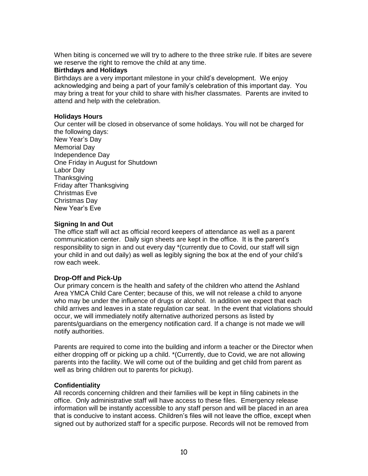When biting is concerned we will try to adhere to the three strike rule. If bites are severe we reserve the right to remove the child at any time.

#### **Birthdays and Holidays**

Birthdays are a very important milestone in your child's development. We enjoy acknowledging and being a part of your family's celebration of this important day. You may bring a treat for your child to share with his/her classmates. Parents are invited to attend and help with the celebration.

#### **Holidays Hours**

Our center will be closed in observance of some holidays. You will not be charged for the following days: New Year's Day Memorial Day Independence Day One Friday in August for Shutdown Labor Day **Thanksgiving** Friday after Thanksgiving Christmas Eve Christmas Day New Year's Eve

#### **Signing In and Out**

The office staff will act as official record keepers of attendance as well as a parent communication center. Daily sign sheets are kept in the office. It is the parent's responsibility to sign in and out every day \*(currently due to Covid, our staff will sign your child in and out daily) as well as legibly signing the box at the end of your child's row each week.

#### **Drop-Off and Pick-Up**

Our primary concern is the health and safety of the children who attend the Ashland Area YMCA Child Care Center; because of this, we will not release a child to anyone who may be under the influence of drugs or alcohol. In addition we expect that each child arrives and leaves in a state regulation car seat. In the event that violations should occur, we will immediately notify alternative authorized persons as listed by parents/guardians on the emergency notification card. If a change is not made we will notify authorities.

Parents are required to come into the building and inform a teacher or the Director when either dropping off or picking up a child. \*(Currently, due to Covid, we are not allowing parents into the facility. We will come out of the building and get child from parent as well as bring children out to parents for pickup).

#### **Confidentiality**

All records concerning children and their families will be kept in filing cabinets in the office. Only administrative staff will have access to these files. Emergency release information will be instantly accessible to any staff person and will be placed in an area that is conducive to instant access. Children's files will not leave the office, except when signed out by authorized staff for a specific purpose. Records will not be removed from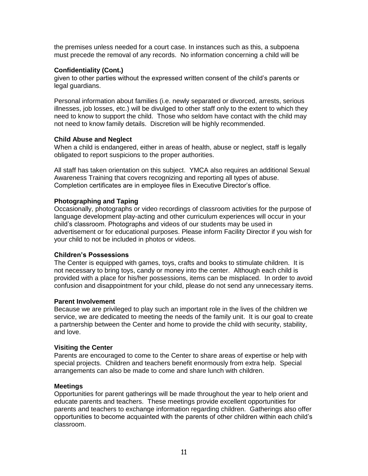the premises unless needed for a court case. In instances such as this, a subpoena must precede the removal of any records. No information concerning a child will be

#### **Confidentiality (Cont.)**

given to other parties without the expressed written consent of the child's parents or legal guardians.

Personal information about families (i.e. newly separated or divorced, arrests, serious illnesses, job losses, etc.) will be divulged to other staff only to the extent to which they need to know to support the child. Those who seldom have contact with the child may not need to know family details. Discretion will be highly recommended.

#### **Child Abuse and Neglect**

When a child is endangered, either in areas of health, abuse or neglect, staff is legally obligated to report suspicions to the proper authorities.

All staff has taken orientation on this subject. YMCA also requires an additional Sexual Awareness Training that covers recognizing and reporting all types of abuse. Completion certificates are in employee files in Executive Director's office.

#### **Photographing and Taping**

Occasionally, photographs or video recordings of classroom activities for the purpose of language development play-acting and other curriculum experiences will occur in your child's classroom. Photographs and videos of our students may be used in advertisement or for educational purposes. Please inform Facility Director if you wish for your child to not be included in photos or videos.

#### **Children's Possessions**

The Center is equipped with games, toys, crafts and books to stimulate children. It is not necessary to bring toys, candy or money into the center. Although each child is provided with a place for his/her possessions, items can be misplaced. In order to avoid confusion and disappointment for your child, please do not send any unnecessary items.

#### **Parent Involvement**

Because we are privileged to play such an important role in the lives of the children we service, we are dedicated to meeting the needs of the family unit. It is our goal to create a partnership between the Center and home to provide the child with security, stability, and love.

#### **Visiting the Center**

Parents are encouraged to come to the Center to share areas of expertise or help with special projects. Children and teachers benefit enormously from extra help. Special arrangements can also be made to come and share lunch with children.

#### **Meetings**

Opportunities for parent gatherings will be made throughout the year to help orient and educate parents and teachers. These meetings provide excellent opportunities for parents and teachers to exchange information regarding children. Gatherings also offer opportunities to become acquainted with the parents of other children within each child's classroom.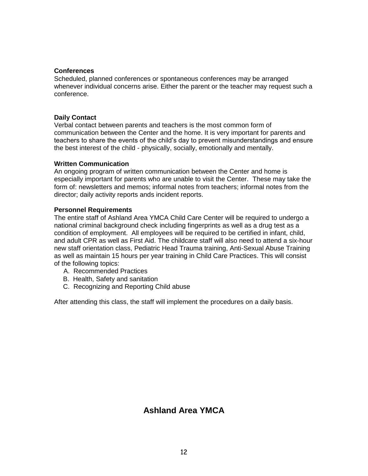#### **Conferences**

Scheduled, planned conferences or spontaneous conferences may be arranged whenever individual concerns arise. Either the parent or the teacher may request such a conference.

#### **Daily Contact**

Verbal contact between parents and teachers is the most common form of communication between the Center and the home. It is very important for parents and teachers to share the events of the child's day to prevent misunderstandings and ensure the best interest of the child - physically, socially, emotionally and mentally.

#### **Written Communication**

An ongoing program of written communication between the Center and home is especially important for parents who are unable to visit the Center. These may take the form of: newsletters and memos; informal notes from teachers; informal notes from the director; daily activity reports ands incident reports.

#### **Personnel Requirements**

The entire staff of Ashland Area YMCA Child Care Center will be required to undergo a national criminal background check including fingerprints as well as a drug test as a condition of employment. All employees will be required to be certified in infant, child, and adult CPR as well as First Aid. The childcare staff will also need to attend a six-hour new staff orientation class, Pediatric Head Trauma training, Anti-Sexual Abuse Training as well as maintain 15 hours per year training in Child Care Practices. This will consist of the following topics:

- A. Recommended Practices
- B. Health, Safety and sanitation
- C. Recognizing and Reporting Child abuse

After attending this class, the staff will implement the procedures on a daily basis.

# **Ashland Area YMCA**